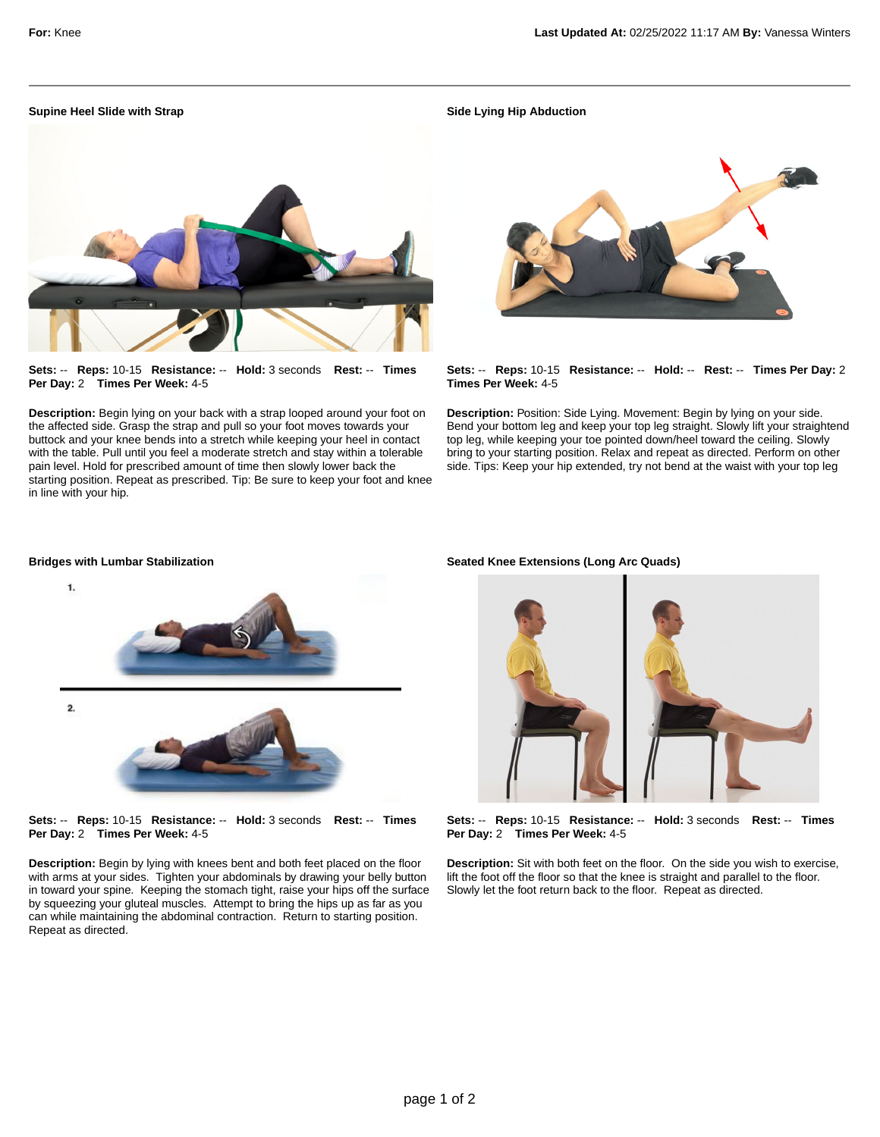## **Supine Heel Slide with Strap**

**Sets:** -- **Reps:** 10-15 **Resistance:** -- **Hold:** 3 seconds **Rest:** -- **Times Per Day:** 2 **Times Per Week:** 4-5

**Description:** Begin lying on your back with a strap looped around your foot on the affected side. Grasp the strap and pull so your foot moves towards your buttock and your knee bends into a stretch while keeping your heel in contact with the table. Pull until you feel a moderate stretch and stay within a tolerable pain level. Hold for prescribed amount of time then slowly lower back the starting position. Repeat as prescribed. Tip: Be sure to keep your foot and knee in line with your hip.

**Side Lying Hip Abduction**



**Sets:** -- **Reps:** 10-15 **Resistance:** -- **Hold:** -- **Rest:** -- **Times Per Day:** 2 **Times Per Week:** 4-5

**Description:** Position: Side Lying. Movement: Begin by lying on your side. Bend your bottom leg and keep your top leg straight. Slowly lift your straightend top leg, while keeping your toe pointed down/heel toward the ceiling. Slowly bring to your starting position. Relax and repeat as directed. Perform on other side. Tips: Keep your hip extended, try not bend at the waist with your top leg

## **Bridges with Lumbar Stabilization**



**Sets:** -- **Reps:** 10-15 **Resistance:** -- **Hold:** 3 seconds **Rest:** -- **Times Per Day:** 2 **Times Per Week:** 4-5

**Description:** Begin by lying with knees bent and both feet placed on the floor with arms at your sides. Tighten your abdominals by drawing your belly button in toward your spine. Keeping the stomach tight, raise your hips off the surface by squeezing your gluteal muscles. Attempt to bring the hips up as far as you can while maintaining the abdominal contraction. Return to starting position. Repeat as directed.

## **Seated Knee Extensions (Long Arc Quads)**



**Sets:** -- **Reps:** 10-15 **Resistance:** -- **Hold:** 3 seconds **Rest:** -- **Times Per Day:** 2 **Times Per Week:** 4-5

**Description:** Sit with both feet on the floor. On the side you wish to exercise, lift the foot off the floor so that the knee is straight and parallel to the floor. Slowly let the foot return back to the floor. Repeat as directed.